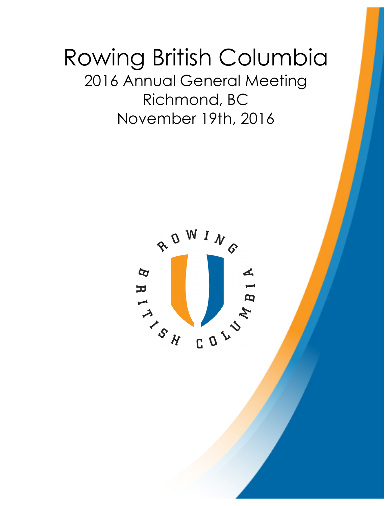# Rowing British Columbia 2016 Annual General Meeting Richmond, BC November 19th, 2016

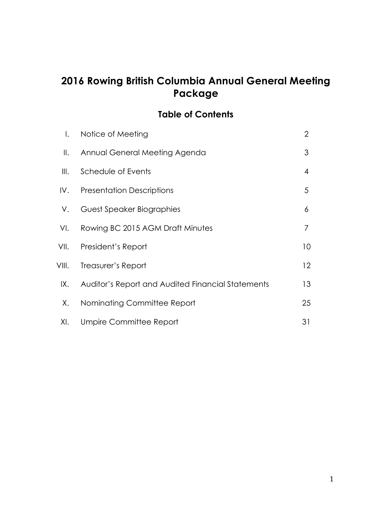# **2016 Rowing British Columbia Annual General Meeting Package**

### **Table of Contents**

| $\mathsf{l}$ . | Notice of Meeting                                 | $\overline{2}$ |
|----------------|---------------------------------------------------|----------------|
| $\parallel$ .  | Annual General Meeting Agenda                     | 3              |
| Ⅲ.             | Schedule of Events                                | $\overline{4}$ |
| IV.            | <b>Presentation Descriptions</b>                  | 5              |
| V.             | Guest Speaker Biographies                         | 6              |
| VI.            | Rowing BC 2015 AGM Draft Minutes                  | 7              |
|                | VII. President's Report                           | 10             |
| VIII.          | Treasurer's Report                                | 12             |
| IX.            | Auditor's Report and Audited Financial Statements | 13             |
| Х.             | Nominating Committee Report                       | 25             |
| XI.            | Umpire Committee Report                           | 31             |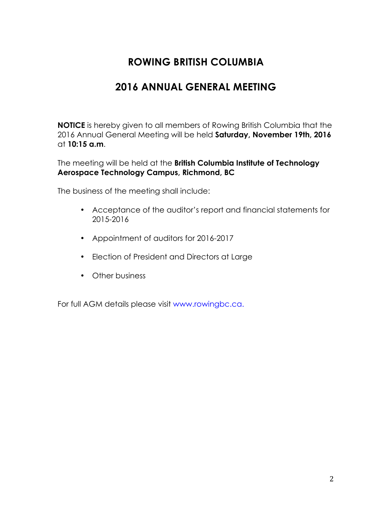# **2016 ANNUAL GENERAL MEETING**

**NOTICE** is hereby given to all members of Rowing British Columbia that the 2016 Annual General Meeting will be held **Saturday, November 19th, 2016** at **10:15 a.m**.

The meeting will be held at the **British Columbia Institute of Technology Aerospace Technology Campus, Richmond, BC**

The business of the meeting shall include:

- Acceptance of the auditor's report and financial statements for 2015-2016
- Appointment of auditors for 2016-2017
- Election of President and Directors at Large
- Other business

For full AGM details please visit www.rowingbc.ca.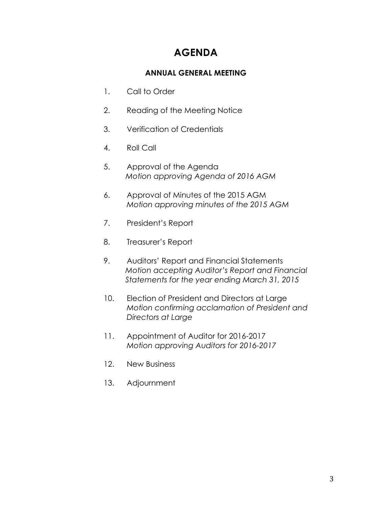# **AGENDA**

#### **ANNUAL GENERAL MEETING**

- 1. Call to Order
- 2. Reading of the Meeting Notice
- 3. Verification of Credentials
- 4. Roll Call
- 5. Approval of the Agenda *Motion approving Agenda of 2016 AGM*
- 6. Approval of Minutes of the 2015 AGM *Motion approving minutes of the 2015 AGM*
- 7. President's Report
- 8. Treasurer's Report
- 9. Auditors' Report and Financial Statements *Motion accepting Auditor's Report and Financial Statements for the year ending March 31, 2015*
- 10. Election of President and Directors at Large *Motion confirming acclamation of President and Directors at Large*
- 11. Appointment of Auditor for 2016-2017 *Motion approving Auditors for 2016-2017*
- 12. New Business
- 13. Adjournment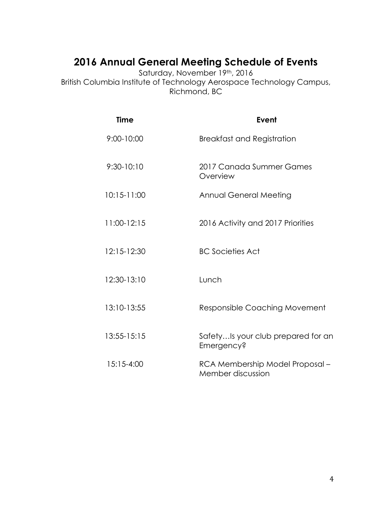# **2016 Annual General Meeting Schedule of Events**

Saturday, November 19th, 2016 British Columbia Institute of Technology Aerospace Technology Campus, Richmond, BC

| <b>Time</b>     | Event                                                |
|-----------------|------------------------------------------------------|
| 9:00-10:00      | <b>Breakfast and Registration</b>                    |
| $9:30 - 10:10$  | 2017 Canada Summer Games<br>Overview                 |
| $10:15 - 11:00$ | Annual General Meeting                               |
| 11:00-12:15     | 2016 Activity and 2017 Priorities                    |
| 12:15-12:30     | <b>BC Societies Act</b>                              |
| 12:30-13:10     | Lunch                                                |
| 13:10-13:55     | <b>Responsible Coaching Movement</b>                 |
| 13:55-15:15     | SafetyIs your club prepared for an<br>Emergency?     |
| 15:15-4:00      | RCA Membership Model Proposal -<br>Member discussion |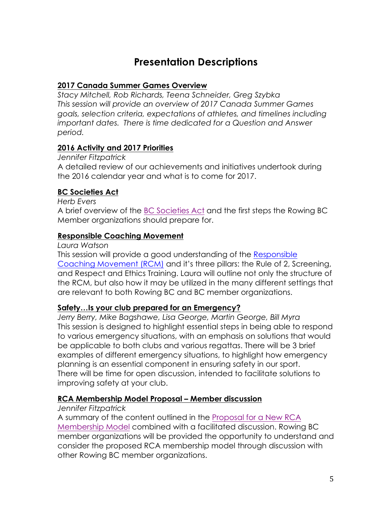# **Presentation Descriptions**

#### **2017 Canada Summer Games Overview**

*Stacy Mitchell, Rob Richards, Teena Schneider, Greg Szybka This session will provide an overview of 2017 Canada Summer Games goals, selection criteria, expectations of athletes, and timelines including important dates. There is time dedicated for a Question and Answer period.* 

#### **2016 Activity and 2017 Priorities**

*Jennifer Fitzpatrick* A detailed review of our achievements and initiatives undertook during the 2016 calendar year and what is to come for 2017.

#### **BC Societies Act**

*Herb Evers*

A brief overview of the BC Societies Act and the first steps the Rowing BC Member organizations should prepare for.

#### **Responsible Coaching Movement**

*Laura Watson*

This session will provide a good understanding of the Responsible Coaching Movement (RCM) and it's three pillars: the Rule of 2, Screening, and Respect and Ethics Training. Laura will outline not only the structure of the RCM, but also how it may be utilized in the many different settings that are relevant to both Rowing BC and BC member organizations.

#### **Safety…Is your club prepared for an Emergency?**

*Jerry Berry, Mike Bagshawe, Lisa George, Martin George, Bill Myra* This session is designed to highlight essential steps in being able to respond to various emergency situations, with an emphasis on solutions that would be applicable to both clubs and various regattas. There will be 3 brief examples of different emergency situations, to highlight how emergency planning is an essential component in ensuring safety in our sport. There will be time for open discussion, intended to facilitate solutions to improving safety at your club.

#### **RCA Membership Model Proposal – Member discussion**

#### *Jennifer Fitzpatrick*

A summary of the content outlined in the Proposal for a New RCA Membership Model combined with a facilitated discussion. Rowing BC member organizations will be provided the opportunity to understand and consider the proposed RCA membership model through discussion with other Rowing BC member organizations.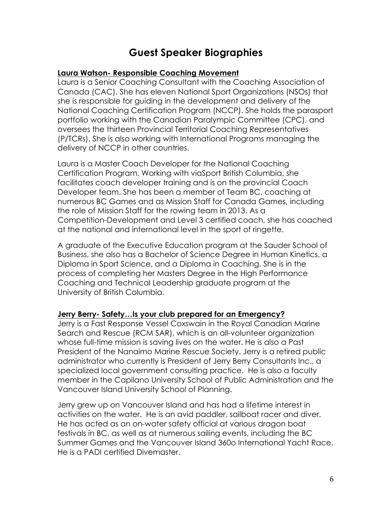# **Guest Speaker Biographies**

#### **Laura Watson- Responsible Coaching Movement**

Laura is a Senior Coaching Consultant with the Coaching Association of Canada (CAC). She has eleven National Sport Organizations (NSOs) that she is responsible for guiding in the development and delivery of the National Coaching Certification Program (NCCP). She holds the parasport portfolio working with the Canadian Paralympic Committee (CPC), and oversees the thirteen Provincial Territorial Coaching Representatives (P/TCRs). She is also working with International Programs managing the delivery of NCCP in other countries.

Laura is a Master Coach Developer for the National Coaching Certification Program. Working with viaSport British Columbia, she facilitates coach developer training and is on the provincial Coach Developer team. She has been a member of Team BC, coaching at numerous BC Games and as Mission Staff for Canada Games, including the role of Mission Staff for the rowing team in 2013. As a Competition-Development and Level 3 certified coach, she has coached at the national and international level in the sport of ringette.

A graduate of the Executive Education program at the Sauder School of Business, she also has a Bachelor of Science Degree in Human Kinetics, a Diploma in Sport Science, and a Diploma in Coaching. She is in the process of completing her Masters Degree in the High Performance Coaching and Technical Leadership graduate program at the University of British Columbia.

#### **Jerry Berry- Safety…Is your club prepared for an Emergency?**

Jerry is a Fast Response Vessel Coxswain in the Royal Canadian Marine Search and Rescue (RCM SAR), which is an all-volunteer organization whose full-time mission is saving lives on the water. He is also a Past President of the Nanaimo Marine Rescue Society. Jerry is a retired public administrator who currently is President of Jerry Berry Consultants Inc., a specialized local government consulting practice. He is also a faculty member in the Capilano University School of Public Administration and the Vancouver Island University School of Planning.

Jerry grew up on Vancouver Island and has had a lifetime interest in activities on the water. He is an avid paddler, sailboat racer and diver. He has acted as an on-water safety official at various dragon boat festivals in BC, as well as at numerous sailing events, including the BC Summer Games and the Vancouver Island 360o International Yacht Race. He is a PADI certified Divemaster.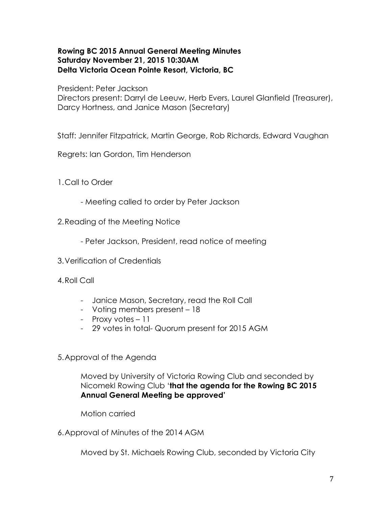#### **Rowing BC 2015 Annual General Meeting Minutes Saturday November 21, 2015 10:30AM Delta Victoria Ocean Pointe Resort, Victoria, BC**

President: Peter Jackson

Directors present: Darryl de Leeuw, Herb Evers, Laurel Glanfield (Treasurer), Darcy Hortness, and Janice Mason (Secretary)

Staff: Jennifer Fitzpatrick, Martin George, Rob Richards, Edward Vaughan

Regrets: Ian Gordon, Tim Henderson

1.Call to Order

- Meeting called to order by Peter Jackson
- 2.Reading of the Meeting Notice
	- Peter Jackson, President, read notice of meeting
- 3.Verification of Credentials
- 4.Roll Call
	- Janice Mason, Secretary, read the Roll Call
	- Voting members present 18
	- Proxy votes 11
	- 29 votes in total- Quorum present for 2015 AGM
- 5.Approval of the Agenda

Moved by University of Victoria Rowing Club and seconded by Nicomekl Rowing Club '**that the agenda for the Rowing BC 2015 Annual General Meeting be approved'**

Motion carried

6.Approval of Minutes of the 2014 AGM

Moved by St. Michaels Rowing Club, seconded by Victoria City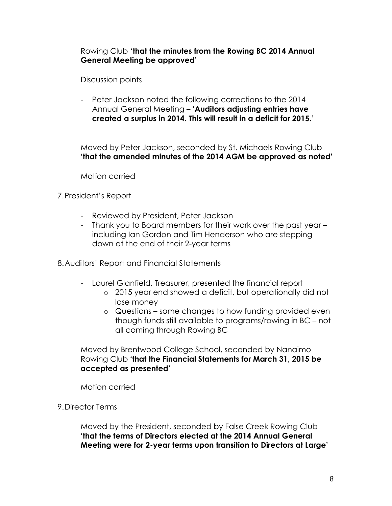#### Rowing Club '**that the minutes from the Rowing BC 2014 Annual General Meeting be approved'**

Discussion points

- Peter Jackson noted the following corrections to the 2014 Annual General Meeting – **'Auditors adjusting entries have created a surplus in 2014. This will result in a deficit for 2015.**'

Moved by Peter Jackson, seconded by St. Michaels Rowing Club **'that the amended minutes of the 2014 AGM be approved as noted'**

Motion carried

7.President's Report

- Reviewed by President, Peter Jackson
- Thank you to Board members for their work over the past year including Ian Gordon and Tim Henderson who are stepping down at the end of their 2-year terms

8.Auditors' Report and Financial Statements

- Laurel Glanfield, Treasurer, presented the financial report
	- o 2015 year end showed a deficit, but operationally did not lose money
	- o Questions some changes to how funding provided even though funds still available to programs/rowing in BC – not all coming through Rowing BC

Moved by Brentwood College School, seconded by Nanaimo Rowing Club **'that the Financial Statements for March 31, 2015 be accepted as presented'**

Motion carried

9.Director Terms

Moved by the President, seconded by False Creek Rowing Club **'that the terms of Directors elected at the 2014 Annual General Meeting were for 2-year terms upon transition to Directors at Large'**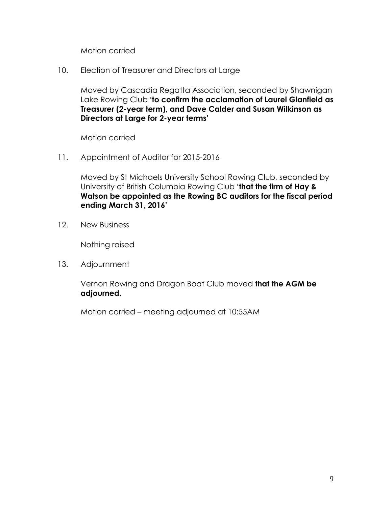Motion carried

10. Election of Treasurer and Directors at Large

Moved by Cascadia Regatta Association, seconded by Shawnigan Lake Rowing Club **'to confirm the acclamation of Laurel Glanfield as Treasurer (2-year term), and Dave Calder and Susan Wilkinson as Directors at Large for 2-year terms'**

Motion carried

11. Appointment of Auditor for 2015-2016

Moved by St Michaels University School Rowing Club, seconded by University of British Columbia Rowing Club **'that the firm of Hay & Watson be appointed as the Rowing BC auditors for the fiscal period ending March 31, 2016'**

12. New Business

Nothing raised

13. Adjournment

Vernon Rowing and Dragon Boat Club moved **that the AGM be adjourned.**

Motion carried – meeting adjourned at 10:55AM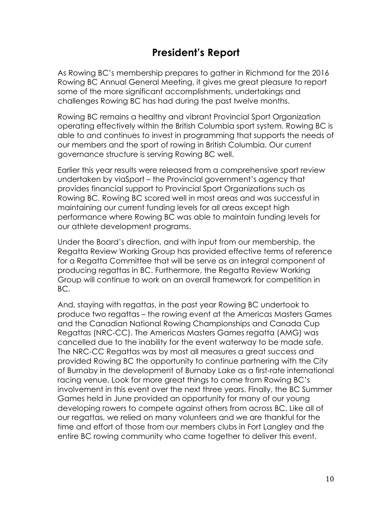# **President's Report**

As Rowing BC's membership prepares to gather in Richmond for the 2016 Rowing BC Annual General Meeting, it gives me great pleasure to report some of the more significant accomplishments, undertakings and challenges Rowing BC has had during the past twelve months.

Rowing BC remains a healthy and vibrant Provincial Sport Organization operating effectively within the British Columbia sport system. Rowing BC is able to and continues to invest in programming that supports the needs of our members and the sport of rowing in British Columbia. Our current governance structure is serving Rowing BC well.

Earlier this year results were released from a comprehensive sport review undertaken by viaSport – the Provincial government's agency that provides financial support to Provincial Sport Organizations such as Rowing BC. Rowing BC scored well in most areas and was successful in maintaining our current funding levels for all areas except high performance where Rowing BC was able to maintain funding levels for our athlete development programs.

Under the Board's direction, and with input from our membership, the Regatta Review Working Group has provided effective terms of reference for a Regatta Committee that will be serve as an integral component of producing regattas in BC. Furthermore, the Regatta Review Working Group will continue to work on an overall framework for competition in BC.

And, staying with regattas, in the past year Rowing BC undertook to produce two regattas – the rowing event at the Americas Masters Games and the Canadian National Rowing Championships and Canada Cup Regattas (NRC-CC). The Americas Masters Games regatta (AMG) was cancelled due to the inability for the event waterway to be made safe. The NRC-CC Regattas was by most all measures a great success and provided Rowing BC the opportunity to continue partnering with the City of Burnaby in the development of Burnaby Lake as a first-rate international racing venue. Look for more great things to come from Rowing BC's involvement in this event over the next three years. Finally, the BC Summer Games held in June provided an opportunity for many of our young developing rowers to compete against others from across BC. Like all of our regattas, we relied on many volunteers and we are thankful for the time and effort of those from our members clubs in Fort Langley and the entire BC rowing community who came together to deliver this event.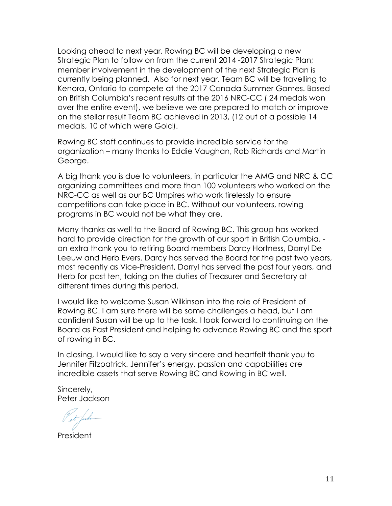Looking ahead to next year, Rowing BC will be developing a new Strategic Plan to follow on from the current 2014 -2017 Strategic Plan; member involvement in the development of the next Strategic Plan is currently being planned. Also for next year, Team BC will be travelling to Kenora, Ontario to compete at the 2017 Canada Summer Games. Based on British Columbia's recent results at the 2016 NRC-CC ( 24 medals won over the entire event), we believe we are prepared to match or improve on the stellar result Team BC achieved in 2013, (12 out of a possible 14 medals, 10 of which were Gold).

Rowing BC staff continues to provide incredible service for the organization – many thanks to Eddie Vaughan, Rob Richards and Martin George.

A big thank you is due to volunteers, in particular the AMG and NRC & CC organizing committees and more than 100 volunteers who worked on the NRC-CC as well as our BC Umpires who work tirelessly to ensure competitions can take place in BC. Without our volunteers, rowing programs in BC would not be what they are.

Many thanks as well to the Board of Rowing BC. This group has worked hard to provide direction for the growth of our sport in British Columbia. an extra thank you to retiring Board members Darcy Hortness, Darryl De Leeuw and Herb Evers. Darcy has served the Board for the past two years, most recently as Vice-President, Darryl has served the past four years, and Herb for past ten, taking on the duties of Treasurer and Secretary at different times during this period.

I would like to welcome Susan Wilkinson into the role of President of Rowing BC. I am sure there will be some challenges a head, but I am confident Susan will be up to the task. I look forward to continuing on the Board as Past President and helping to advance Rowing BC and the sport of rowing in BC.

In closing, I would like to say a very sincere and heartfelt thank you to Jennifer Fitzpatrick. Jennifer's energy, passion and capabilities are incredible assets that serve Rowing BC and Rowing in BC well.

Sincerely, Peter Jackson

President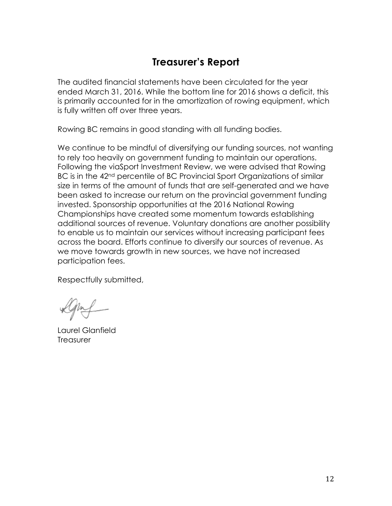# **Treasurer's Report**

The audited financial statements have been circulated for the year ended March 31, 2016. While the bottom line for 2016 shows a deficit, this is primarily accounted for in the amortization of rowing equipment, which is fully written off over three years.

Rowing BC remains in good standing with all funding bodies.

We continue to be mindful of diversifying our funding sources, not wanting to rely too heavily on government funding to maintain our operations. Following the viaSport Investment Review, we were advised that Rowing BC is in the 42<sup>nd</sup> percentile of BC Provincial Sport Organizations of similar size in terms of the amount of funds that are self-generated and we have been asked to increase our return on the provincial government funding invested. Sponsorship opportunities at the 2016 National Rowing Championships have created some momentum towards establishing additional sources of revenue. Voluntary donations are another possibility to enable us to maintain our services without increasing participant fees across the board. Efforts continue to diversify our sources of revenue. As we move towards growth in new sources, we have not increased participation fees.

Respectfully submitted,

Laurel Glanfield **Treasurer**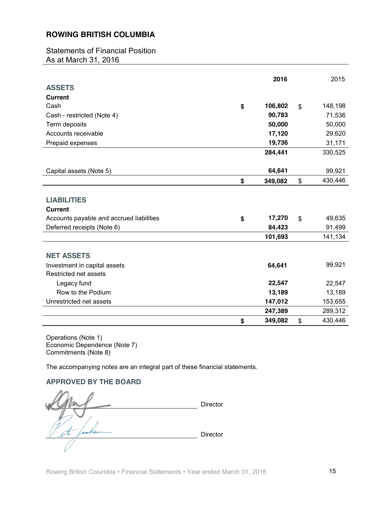Statements of Financial Position As at March 31, 2016

|                                          | 2016          |             | 2015    |
|------------------------------------------|---------------|-------------|---------|
| <b>ASSETS</b>                            |               |             |         |
| <b>Current</b>                           |               |             |         |
| Cash                                     | \$<br>106,802 | \$          | 148,198 |
| Cash - restricted (Note 4)               | 90,783        |             | 71,536  |
| Term deposits                            | 50,000        |             | 50,000  |
| Accounts receivable                      | 17,120        |             | 29,620  |
| Prepaid expenses                         | 19,736        |             | 31,171  |
|                                          | 284,441       |             | 330,525 |
|                                          |               |             |         |
| Capital assets (Note 5)                  | 64,641        |             | 99,921  |
|                                          | \$<br>349,082 | \$          | 430,446 |
|                                          |               |             |         |
| <b>LIABILITIES</b>                       |               |             |         |
| <b>Current</b>                           |               |             |         |
| Accounts payable and accrued liabilities | \$<br>17,270  | $\mathbf S$ | 49,635  |
| Deferred receipts (Note 6)               | 84,423        |             | 91,499  |
|                                          | 101,693       |             | 141,134 |
|                                          |               |             |         |
| <b>NET ASSETS</b>                        |               |             |         |
| Investment in capital assets             | 64,641        |             | 99,921  |
| Restricted net assets                    |               |             |         |
| Legacy fund                              | 22,547        |             | 22,547  |
| Row to the Podium                        | 13,189        |             | 13,189  |
| Unrestricted net assets                  | 147,012       |             | 153,655 |
|                                          | 247,389       |             | 289,312 |
|                                          | \$<br>349,082 | \$          | 430,446 |

Operations (Note 1) Economic Dependence (Note 7) Commitments (Note 8)

The accompanying notes are an integral part of these financial statements.

#### **APPROVED BY THE BOARD**

Director axilis Director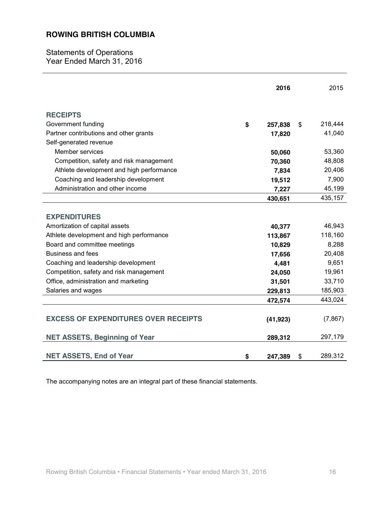Statements of Operations Year Ended March 31, 2016

|                                             | 2016          | 2015          |
|---------------------------------------------|---------------|---------------|
| <b>RECEIPTS</b>                             |               |               |
| Government funding                          | \$<br>257,838 | \$<br>218,444 |
| Partner contributions and other grants      | 17,820        | 41,040        |
| Self-generated revenue                      |               |               |
| Member services                             | 50,060        | 53,360        |
| Competition, safety and risk management     | 70,360        | 48,808        |
| Athlete development and high performance    | 7,834         | 20,406        |
| Coaching and leadership development         | 19,512        | 7,900         |
| Administration and other income             | 7,227         | 45,199        |
|                                             | 430,651       | 435,157       |
|                                             |               |               |
| <b>EXPENDITURES</b>                         |               |               |
| Amortization of capital assets              | 40,377        | 46,943        |
| Athlete development and high performance    | 113,867       | 118,160       |
| Board and committee meetings                | 10,829        | 8,288         |
| <b>Business and fees</b>                    | 17,656        | 20,408        |
| Coaching and leadership development         | 4,481         | 9,651         |
| Competition, safety and risk management     | 24,050        | 19,961        |
| Office, administration and marketing        | 31,501        | 33,710        |
| Salaries and wages                          | 229,813       | 185,903       |
|                                             | 472,574       | 443,024       |
| <b>EXCESS OF EXPENDITURES OVER RECEIPTS</b> | (41, 923)     | (7, 867)      |
| <b>NET ASSETS, Beginning of Year</b>        | 289,312       | 297,179       |
| <b>NET ASSETS, End of Year</b>              | \$<br>247,389 | \$<br>289,312 |

The accompanying notes are an integral part of these financial statements.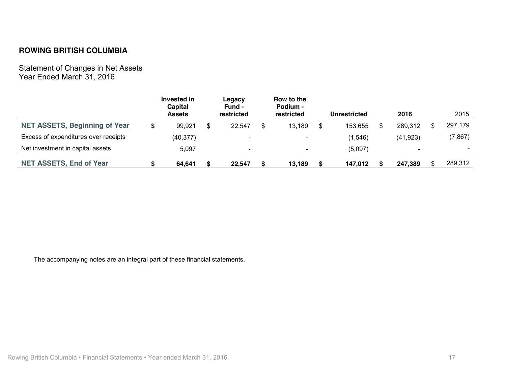Statement of Changes in Net Assets Year Ended March 31, 2016

|                                      | Invested in<br>Capital<br><b>Assets</b> | Legacy<br>Fund -<br>restricted |    | Row to the<br>Podium -<br>restricted |    | <b>Unrestricted</b> | 2016      | 2015                     |
|--------------------------------------|-----------------------------------------|--------------------------------|----|--------------------------------------|----|---------------------|-----------|--------------------------|
| <b>NET ASSETS, Beginning of Year</b> | \$<br>99,921                            | 22.547                         | \$ | 13,189                               | S. | 153,655             | 289,312   | 297,179                  |
| Excess of expenditures over receipts | (40, 377)                               | $\overline{\phantom{0}}$       |    | $\overline{\phantom{a}}$             |    | (1,546)             | (41, 923) | (7, 867)                 |
| Net investment in capital assets     | 5.097                                   |                                |    |                                      |    | (5,097)             |           | $\overline{\phantom{0}}$ |
| <b>NET ASSETS, End of Year</b>       | 64.641                                  | 22.547                         | S  | 13.189                               | -S | 147.012             | 247,389   | \$<br>289,312            |

The accompanying notes are an integral part of these financial statements.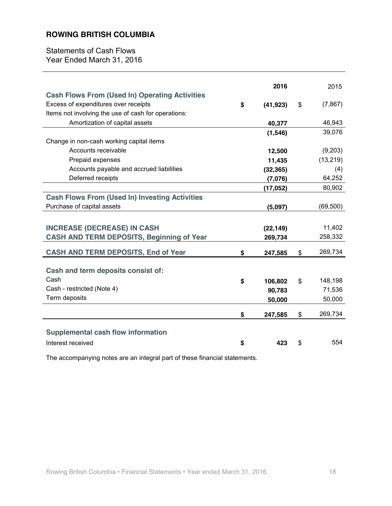Statements of Cash Flows Year Ended March 31, 2016

|                                                       | 2016            | 2015           |
|-------------------------------------------------------|-----------------|----------------|
| <b>Cash Flows From (Used In) Operating Activities</b> |                 |                |
| Excess of expenditures over receipts                  | \$<br>(41, 923) | \$<br>(7, 867) |
| Items not involving the use of cash for operations:   |                 |                |
| Amortization of capital assets                        | 40,377          | 46,943         |
|                                                       | (1, 546)        | 39,076         |
| Change in non-cash working capital items              |                 |                |
| Accounts receivable                                   | 12,500          | (9,203)        |
| Prepaid expenses                                      | 11,435          | (13, 219)      |
| Accounts payable and accrued liabilities              | (32, 365)       | (4)            |
| Deferred receipts                                     | (7,076)         | 64,252         |
|                                                       | (17, 052)       | 80,902         |
| <b>Cash Flows From (Used In) Investing Activities</b> |                 |                |
| Purchase of capital assets                            | (5,097)         | (69, 500)      |
|                                                       |                 |                |
|                                                       |                 |                |
| <b>INCREASE (DECREASE) IN CASH</b>                    | (22, 149)       | 11,402         |
| <b>CASH AND TERM DEPOSITS, Beginning of Year</b>      | 269,734         | 258,332        |
| <b>CASH AND TERM DEPOSITS, End of Year</b>            | \$<br>247,585   | \$<br>269,734  |
|                                                       |                 |                |
| Cash and term deposits consist of:                    |                 |                |
| Cash                                                  | \$<br>106,802   | \$<br>148,198  |
| Cash - restricted (Note 4)                            | 90,783          | 71,536         |
| Term deposits                                         | 50,000          | 50,000         |
|                                                       |                 |                |
|                                                       | \$<br>247,585   | \$<br>269,734  |
|                                                       |                 |                |
| <b>Supplemental cash flow information</b>             |                 |                |
| Interest received                                     | \$<br>423       | \$<br>554      |

The accompanying notes are an integral part of these financial statements.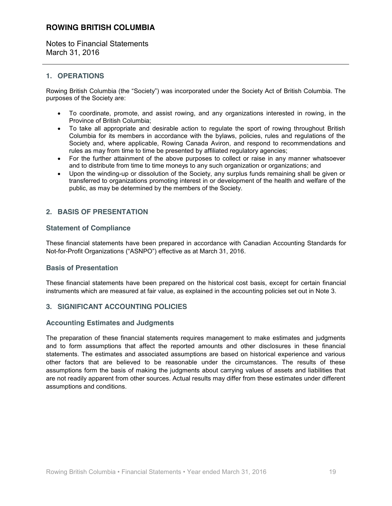Notes to Financial Statements March 31, 2016

#### **1. OPERATIONS**

Rowing British Columbia (the "Society") was incorporated under the Society Act of British Columbia. The purposes of the Society are:

- To coordinate, promote, and assist rowing, and any organizations interested in rowing, in the Province of British Columbia;
- To take all appropriate and desirable action to regulate the sport of rowing throughout British Columbia for its members in accordance with the bylaws, policies, rules and regulations of the Society and, where applicable, Rowing Canada Aviron, and respond to recommendations and rules as may from time to time be presented by affiliated regulatory agencies;
- For the further attainment of the above purposes to collect or raise in any manner whatsoever and to distribute from time to time moneys to any such organization or organizations; and
- Upon the winding-up or dissolution of the Society, any surplus funds remaining shall be given or transferred to organizations promoting interest in or development of the health and welfare of the public, as may be determined by the members of the Society.

#### **2. BASIS OF PRESENTATION**

#### **Statement of Compliance**

These financial statements have been prepared in accordance with Canadian Accounting Standards for Not-for-Profit Organizations ("ASNPO") effective as at March 31, 2016.

#### **Basis of Presentation**

These financial statements have been prepared on the historical cost basis, except for certain financial instruments which are measured at fair value, as explained in the accounting policies set out in Note 3.

#### **3. SIGNIFICANT ACCOUNTING POLICIES**

#### **Accounting Estimates and Judgments**

The preparation of these financial statements requires management to make estimates and judgments and to form assumptions that affect the reported amounts and other disclosures in these financial statements. The estimates and associated assumptions are based on historical experience and various other factors that are believed to be reasonable under the circumstances. The results of these assumptions form the basis of making the judgments about carrying values of assets and liabilities that are not readily apparent from other sources. Actual results may differ from these estimates under different assumptions and conditions.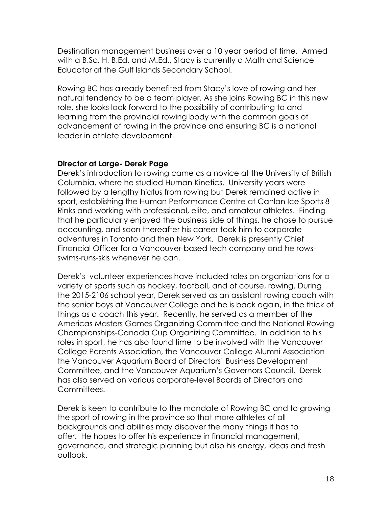Destination management business over a 10 year period of time. Armed with a B.Sc. H, B.Ed. and M.Ed., Stacy is currently a Math and Science Educator at the Gulf Islands Secondary School.

Rowing BC has already benefited from Stacy's love of rowing and her natural tendency to be a team player. As she joins Rowing BC in this new role, she looks look forward to the possibility of contributing to and learning from the provincial rowing body with the common goals of advancement of rowing in the province and ensuring BC is a national leader in athlete development.

#### **Director at Large- Derek Page**

Derek's introduction to rowing came as a novice at the University of British Columbia, where he studied Human Kinetics. University years were followed by a lengthy hiatus from rowing but Derek remained active in sport, establishing the Human Performance Centre at Canlan Ice Sports 8 Rinks and working with professional, elite, and amateur athletes. Finding that he particularly enjoyed the business side of things, he chose to pursue accounting, and soon thereafter his career took him to corporate adventures in Toronto and then New York. Derek is presently Chief Financial Officer for a Vancouver-based tech company and he rowsswims-runs-skis whenever he can.

Derek's volunteer experiences have included roles on organizations for a variety of sports such as hockey, football, and of course, rowing. During the 2015-2106 school year, Derek served as an assistant rowing coach with the senior boys at Vancouver College and he is back again, in the thick of things as a coach this year. Recently, he served as a member of the Americas Masters Games Organizing Committee and the National Rowing Championships-Canada Cup Organizing Committee. In addition to his roles in sport, he has also found time to be involved with the Vancouver College Parents Association, the Vancouver College Alumni Association the Vancouver Aquarium Board of Directors' Business Development Committee, and the Vancouver Aquarium's Governors Council. Derek has also served on various corporate-level Boards of Directors and Committees.

Derek is keen to contribute to the mandate of Rowing BC and to growing the sport of rowing in the province so that more athletes of all backgrounds and abilities may discover the many things it has to offer. He hopes to offer his experience in financial management, governance, and strategic planning but also his energy, ideas and fresh outlook.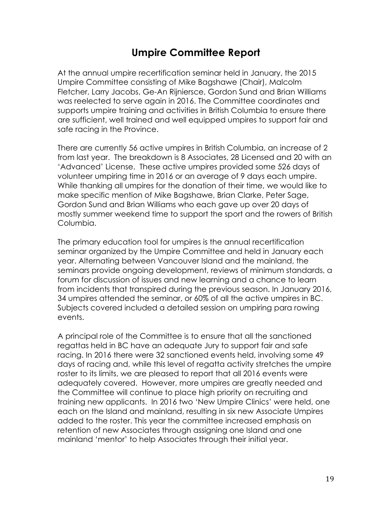### **Umpire Committee Report**

At the annual umpire recertification seminar held in January, the 2015 Umpire Committee consisting of Mike Bagshawe (Chair), Malcolm Fletcher, Larry Jacobs, Ge-An Rijniersce, Gordon Sund and Brian Williams was reelected to serve again in 2016. The Committee coordinates and supports umpire training and activities in British Columbia to ensure there are sufficient, well trained and well equipped umpires to support fair and safe racing in the Province.

There are currently 56 active umpires in British Columbia, an increase of 2 from last year. The breakdown is 8 Associates, 28 Licensed and 20 with an 'Advanced' License. These active umpires provided some 526 days of volunteer umpiring time in 2016 or an average of 9 days each umpire. While thanking all umpires for the donation of their time, we would like to make specific mention of Mike Bagshawe, Brian Clarke, Peter Sage, Gordon Sund and Brian Williams who each gave up over 20 days of mostly summer weekend time to support the sport and the rowers of British Columbia.

The primary education tool for umpires is the annual recertification seminar organized by the Umpire Committee and held in January each year. Alternating between Vancouver Island and the mainland, the seminars provide ongoing development, reviews of minimum standards, a forum for discussion of issues and new learning and a chance to learn from incidents that transpired during the previous season. In January 2016, 34 umpires attended the seminar, or 60% of all the active umpires in BC. Subjects covered included a detailed session on umpiring para rowing events.

A principal role of the Committee is to ensure that all the sanctioned regattas held in BC have an adequate Jury to support fair and safe racing. In 2016 there were 32 sanctioned events held, involving some 49 days of racing and, while this level of regatta activity stretches the umpire roster to its limits, we are pleased to report that all 2016 events were adequately covered. However, more umpires are greatly needed and the Committee will continue to place high priority on recruiting and training new applicants. In 2016 two 'New Umpire Clinics' were held, one each on the Island and mainland, resulting in six new Associate Umpires added to the roster. This year the committee increased emphasis on retention of new Associates through assigning one Island and one mainland 'mentor' to help Associates through their initial year.